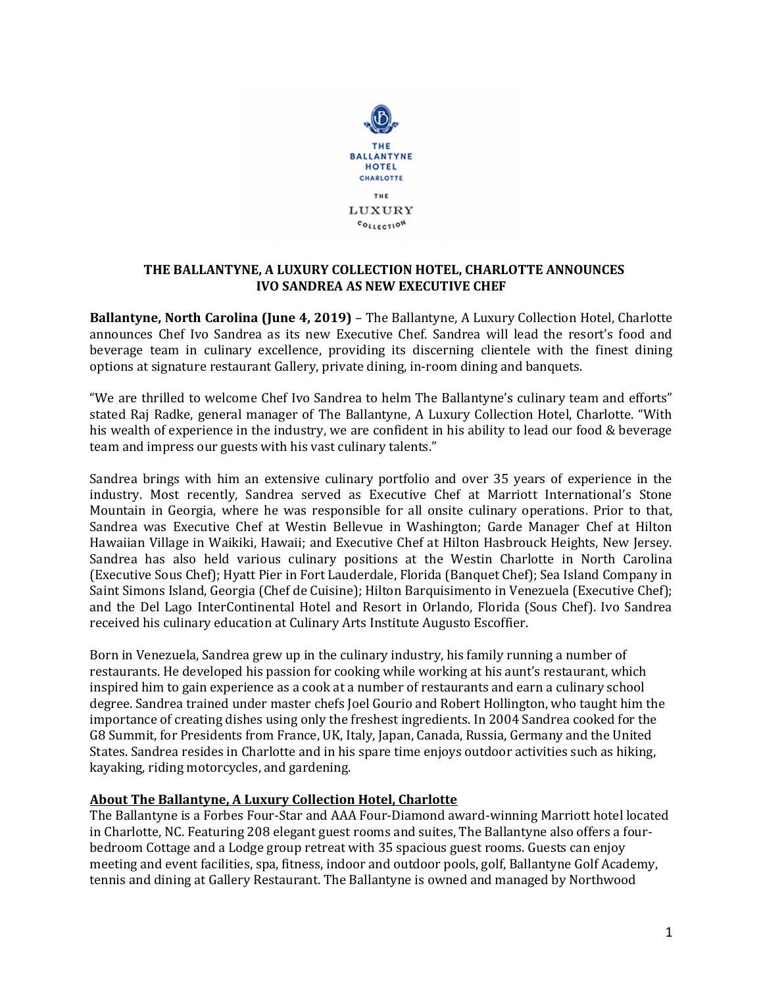

## THE BALLANTYNE, A LUXURY COLLECTION HOTEL, CHARLOTTE ANNOUNCES IVO SANDREA AS NEW EXECUTIVE CHEF

Ballantyne, North Carolina (June 4, 2019) – The Ballantyne, A Luxury Collection Hotel, Charlotte announces Chef Ivo Sandrea as its new Executive Chef. Sandrea will lead the resort's food and beverage team in culinary excellence, providing its discerning clientele with the finest dining options at signature restaurant Gallery, private dining, in-room dining and banquets.

"We are thrilled to welcome Chef Ivo Sandrea to helm The Ballantyne's culinary team and efforts" stated Raj Radke, general manager of The Ballantyne, A Luxury Collection Hotel, Charlotte. "With his wealth of experience in the industry, we are confident in his ability to lead our food & beverage team and impress our guests with his vast culinary talents."

Sandrea brings with him an extensive culinary portfolio and over 35 years of experience in the industry. Most recently, Sandrea served as Executive Chef at Marriott International's Stone Mountain in Georgia, where he was responsible for all onsite culinary operations. Prior to that, Sandrea was Executive Chef at Westin Bellevue in Washington; Garde Manager Chef at Hilton Hawaiian Village in Waikiki, Hawaii; and Executive Chef at Hilton Hasbrouck Heights, New Jersey. Sandrea has also held various culinary positions at the Westin Charlotte in North Carolina (Executive Sous Chef); Hyatt Pier in Fort Lauderdale, Florida (Banquet Chef); Sea Island Company in Saint Simons Island, Georgia (Chef de Cuisine); Hilton Barquisimento in Venezuela (Executive Chef); and the Del Lago InterContinental Hotel and Resort in Orlando, Florida (Sous Chef). Ivo Sandrea received his culinary education at Culinary Arts Institute Augusto Escoffier.

Born in Venezuela, Sandrea grew up in the culinary industry, his family running a number of restaurants. He developed his passion for cooking while working at his aunt's restaurant, which inspired him to gain experience as a cook at a number of restaurants and earn a culinary school degree. Sandrea trained under master chefs Joel Gourio and Robert Hollington, who taught him the importance of creating dishes using only the freshest ingredients. In 2004 Sandrea cooked for the G8 Summit, for Presidents from France, UK, Italy, Japan, Canada, Russia, Germany and the United States. Sandrea resides in Charlotte and in his spare time enjoys outdoor activities such as hiking, kayaking, riding motorcycles, and gardening.

## About The Ballantyne, A Luxury Collection Hotel, Charlotte

The Ballantyne is a Forbes Four-Star and AAA Four-Diamond award-winning Marriott hotel located in Charlotte, NC. Featuring 208 elegant guest rooms and suites, The Ballantyne also offers a fourbedroom Cottage and a Lodge group retreat with 35 spacious guest rooms. Guests can enjoy meeting and event facilities, spa, fitness, indoor and outdoor pools, golf, Ballantyne Golf Academy, tennis and dining at Gallery Restaurant. The Ballantyne is owned and managed by Northwood